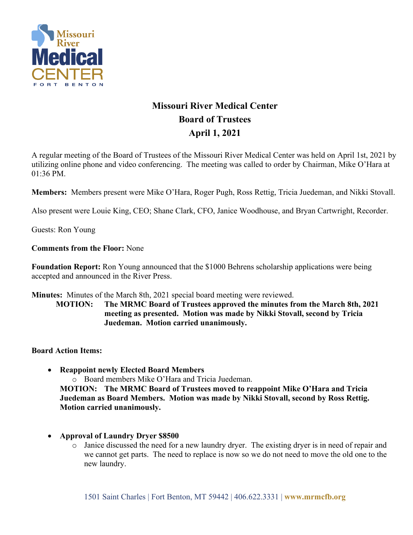

## **Missouri River Medical Center Board of Trustees April 1, 2021**

A regular meeting of the Board of Trustees of the Missouri River Medical Center was held on April 1st, 2021 by utilizing online phone and video conferencing. The meeting was called to order by Chairman, Mike O'Hara at 01:36 PM.

**Members:** Members present were Mike O'Hara, Roger Pugh, Ross Rettig, Tricia Juedeman, and Nikki Stovall.

Also present were Louie King, CEO; Shane Clark, CFO, Janice Woodhouse, and Bryan Cartwright, Recorder.

Guests: Ron Young

**Comments from the Floor:** None

**Foundation Report:** Ron Young announced that the \$1000 Behrens scholarship applications were being accepted and announced in the River Press.

**Minutes:** Minutes of the March 8th, 2021 special board meeting were reviewed.

**MOTION: The MRMC Board of Trustees approved the minutes from the March 8th, 2021 meeting as presented. Motion was made by Nikki Stovall, second by Tricia Juedeman. Motion carried unanimously.**

**Board Action Items:** 

- **Reappoint newly Elected Board Members** o Board members Mike O'Hara and Tricia Juedeman. **MOTION: The MRMC Board of Trustees moved to reappoint Mike O'Hara and Tricia Juedeman as Board Members. Motion was made by Nikki Stovall, second by Ross Rettig. Motion carried unanimously.**
- **Approval of Laundry Dryer \$8500**
	- o Janice discussed the need for a new laundry dryer. The existing dryer is in need of repair and we cannot get parts. The need to replace is now so we do not need to move the old one to the new laundry.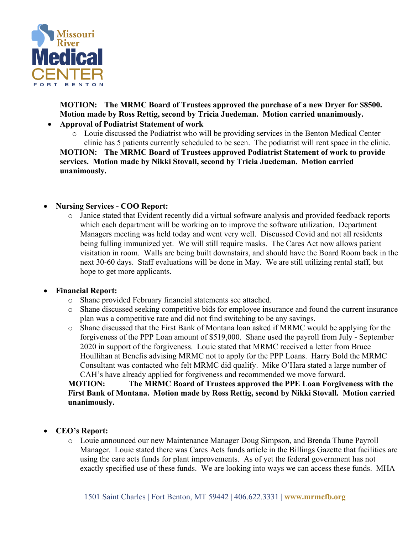

**MOTION: The MRMC Board of Trustees approved the purchase of a new Dryer for \$8500. Motion made by Ross Rettig, second by Tricia Juedeman. Motion carried unanimously.**

- **Approval of Podiatrist Statement of work**
	- o Louie discussed the Podiatrist who will be providing services in the Benton Medical Center clinic has 5 patients currently scheduled to be seen. The podiatrist will rent space in the clinic.

**MOTION: The MRMC Board of Trustees approved Podiatrist Statement of work to provide services. Motion made by Nikki Stovall, second by Tricia Juedeman. Motion carried unanimously.**

## • **Nursing Services - COO Report:**

o Janice stated that Evident recently did a virtual software analysis and provided feedback reports which each department will be working on to improve the software utilization. Department Managers meeting was held today and went very well. Discussed Covid and not all residents being fulling immunized yet. We will still require masks. The Cares Act now allows patient visitation in room. Walls are being built downstairs, and should have the Board Room back in the next 30-60 days. Staff evaluations will be done in May. We are still utilizing rental staff, but hope to get more applicants.

## • **Financial Report:**

- o Shane provided February financial statements see attached.
- o Shane discussed seeking competitive bids for employee insurance and found the current insurance plan was a competitive rate and did not find switching to be any savings.
- o Shane discussed that the First Bank of Montana loan asked if MRMC would be applying for the forgiveness of the PPP Loan amount of \$519,000. Shane used the payroll from July - September 2020 in support of the forgiveness. Louie stated that MRMC received a letter from Bruce Houllihan at Benefis advising MRMC not to apply for the PPP Loans. Harry Bold the MRMC Consultant was contacted who felt MRMC did qualify. Mike O'Hara stated a large number of CAH's have already applied for forgiveness and recommended we move forward.

**MOTION: The MRMC Board of Trustees approved the PPE Loan Forgiveness with the First Bank of Montana. Motion made by Ross Rettig, second by Nikki Stovall. Motion carried unanimously.**

- **CEO's Report:**
	- o Louie announced our new Maintenance Manager Doug Simpson, and Brenda Thune Payroll Manager. Louie stated there was Cares Acts funds article in the Billings Gazette that facilities are using the care acts funds for plant improvements. As of yet the federal government has not exactly specified use of these funds. We are looking into ways we can access these funds. MHA